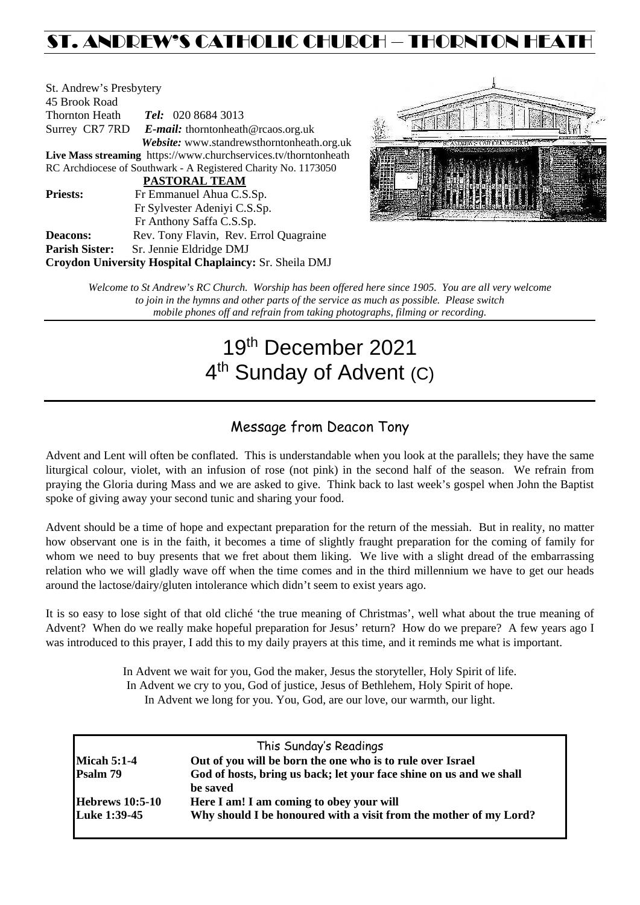# ST. ANDREW'S CATHOLIC CHURCH – THORNTON HEAT

| St. Andrew's Presbytery |                                                                 |  |  |  |
|-------------------------|-----------------------------------------------------------------|--|--|--|
| 45 Brook Road           |                                                                 |  |  |  |
| Thornton Heath          | <b>Tel:</b> 020 8684 3013                                       |  |  |  |
|                         | Surrey CR7 7RD E-mail: thorntonheath@rcaos.org.uk               |  |  |  |
|                         | Website: www.standrewsthorntonheath.org.uk                      |  |  |  |
|                         | Live Mass streaming https://www.churchservices.tv/thorntonheath |  |  |  |
|                         | RC Archdiocese of Southwark - A Registered Charity No. 1173050  |  |  |  |
|                         | <b>PASTORAL TEAM</b>                                            |  |  |  |
| <b>Priests:</b>         | Fr Emmanuel Ahua C.S.Sp.                                        |  |  |  |
|                         | Fr Sylvester Adeniyi C.S.Sp.                                    |  |  |  |
|                         | Fr Anthony Saffa C.S.Sp.                                        |  |  |  |
| <b>Deacons:</b>         | Rev. Tony Flavin, Rev. Errol Quagraine                          |  |  |  |
| <b>Parish Sister:</b>   | Sr. Jennie Eldridge DMJ                                         |  |  |  |
|                         | Croydon University Hospital Chaplaincy: Sr. Sheila DMJ          |  |  |  |



*Welcome to St Andrew's RC Church. Worship has been offered here since 1905. You are all very welcome to join in the hymns and other parts of the service as much as possible. Please switch mobile phones off and refrain from taking photographs, filming or recording.*

# 19th December 2021 4<sup>th</sup> Sunday of Advent (C)

## Message from Deacon Tony

Advent and Lent will often be conflated. This is understandable when you look at the parallels; they have the same liturgical colour, violet, with an infusion of rose (not pink) in the second half of the season. We refrain from praying the Gloria during Mass and we are asked to give. Think back to last week's gospel when John the Baptist spoke of giving away your second tunic and sharing your food.

Advent should be a time of hope and expectant preparation for the return of the messiah. But in reality, no matter how observant one is in the faith, it becomes a time of slightly fraught preparation for the coming of family for whom we need to buy presents that we fret about them liking. We live with a slight dread of the embarrassing relation who we will gladly wave off when the time comes and in the third millennium we have to get our heads around the lactose/dairy/gluten intolerance which didn't seem to exist years ago.

It is so easy to lose sight of that old cliché 'the true meaning of Christmas', well what about the true meaning of Advent? When do we really make hopeful preparation for Jesus' return? How do we prepare? A few years ago I was introduced to this prayer, I add this to my daily prayers at this time, and it reminds me what is important.

> In Advent we wait for you, God the maker, Jesus the storyteller, Holy Spirit of life. In Advent we cry to you, God of justice, Jesus of Bethlehem, Holy Spirit of hope. In Advent we long for you. You, God, are our love, our warmth, our light.

| This Sunday's Readings                                              |  |
|---------------------------------------------------------------------|--|
| Out of you will be born the one who is to rule over Israel          |  |
| God of hosts, bring us back; let your face shine on us and we shall |  |
| be saved                                                            |  |
| Here I am! I am coming to obey your will                            |  |
| Why should I be honoured with a visit from the mother of my Lord?   |  |
|                                                                     |  |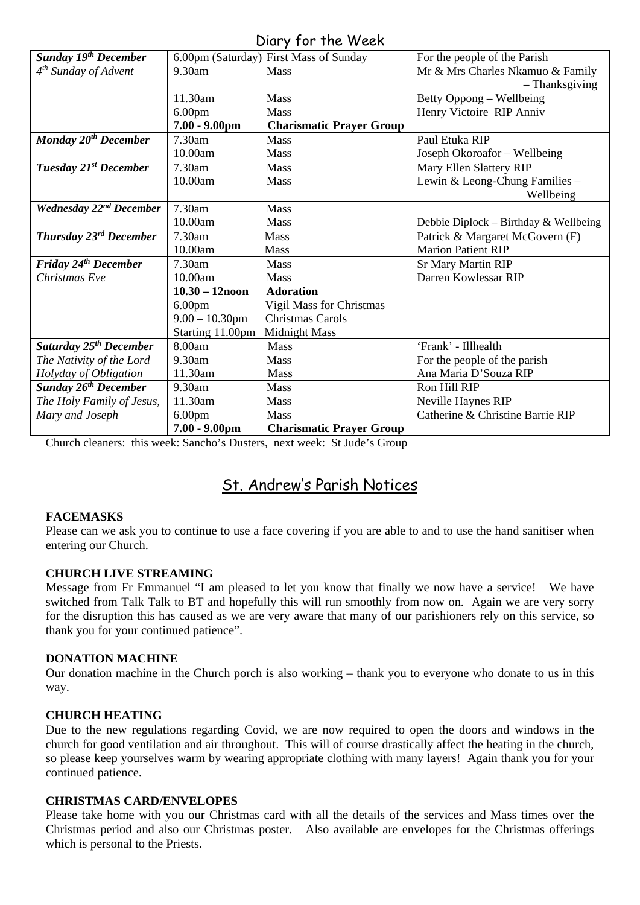## Diary for the Week

|                                           |                    | UNIY JUI IIIC WEEN                     |                                       |
|-------------------------------------------|--------------------|----------------------------------------|---------------------------------------|
| <b>Sunday 19th December</b>               |                    | 6.00pm (Saturday) First Mass of Sunday | For the people of the Parish          |
| 4 <sup>th</sup> Sunday of Advent          | 9.30am             | <b>Mass</b>                            | Mr & Mrs Charles Nkamuo & Family      |
|                                           |                    |                                        | - Thanksgiving                        |
|                                           | 11.30am            | <b>Mass</b>                            | Betty Oppong – Wellbeing              |
|                                           | 6.00 <sub>pm</sub> | <b>Mass</b>                            | Henry Victoire RIP Anniv              |
|                                           | $7.00 - 9.00$ pm   | <b>Charismatic Prayer Group</b>        |                                       |
| Monday 20 <sup>th</sup> December          | 7.30am             | Mass                                   | Paul Etuka RIP                        |
|                                           | 10.00am            | <b>Mass</b>                            | Joseph Okoroafor - Wellbeing          |
| Tuesday 21st December                     | 7.30am             | <b>Mass</b>                            | Mary Ellen Slattery RIP               |
|                                           | 10.00am            | Mass                                   | Lewin & Leong-Chung Families -        |
|                                           |                    |                                        | Wellbeing                             |
| <b>Wednesday 22<sup>nd</sup> December</b> | 7.30am             | Mass                                   |                                       |
|                                           | 10.00am            | Mass                                   | Debbie Diplock – Birthday & Wellbeing |
| Thursday 23 <sup>rd</sup> December        | 7.30am             | <b>Mass</b>                            | Patrick & Margaret McGovern (F)       |
|                                           | 10.00am            | <b>Mass</b>                            | <b>Marion Patient RIP</b>             |
| Friday 24 <sup>th</sup> December          | 7.30am             | Mass                                   | <b>Sr Mary Martin RIP</b>             |
| Christmas Eve                             | 10.00am            | Mass                                   | Darren Kowlessar RIP                  |
|                                           | $10.30 - 12$ noon  | <b>Adoration</b>                       |                                       |
|                                           | 6.00 <sub>pm</sub> | Vigil Mass for Christmas               |                                       |
|                                           | $9.00 - 10.30$ pm  | <b>Christmas Carols</b>                |                                       |
|                                           | Starting 11.00pm   | <b>Midnight Mass</b>                   |                                       |
| Saturday 25 <sup>th</sup> December        | 8.00am             | <b>Mass</b>                            | 'Frank' - Illhealth                   |
| The Nativity of the Lord                  | 9.30am             | Mass                                   | For the people of the parish          |
| Holyday of Obligation                     | 11.30am            | <b>Mass</b>                            | Ana Maria D'Souza RIP                 |
| <b>Sunday 26th December</b>               | 9.30am             | Mass                                   | Ron Hill RIP                          |
| The Holy Family of Jesus,                 | 11.30am            | <b>Mass</b>                            | Neville Haynes RIP                    |
| Mary and Joseph                           | 6.00 <sub>pm</sub> | Mass                                   | Catherine & Christine Barrie RIP      |
|                                           | $7.00 - 9.00$ pm   | <b>Charismatic Prayer Group</b>        |                                       |

Church cleaners: this week: Sancho's Dusters, next week: St Jude's Group

# St. Andrew's Parish Notices

#### **FACEMASKS**

Please can we ask you to continue to use a face covering if you are able to and to use the hand sanitiser when entering our Church.

#### **CHURCH LIVE STREAMING**

Message from Fr Emmanuel "I am pleased to let you know that finally we now have a service! We have switched from Talk Talk to BT and hopefully this will run smoothly from now on. Again we are very sorry for the disruption this has caused as we are very aware that many of our parishioners rely on this service, so thank you for your continued patience".

#### **DONATION MACHINE**

Our donation machine in the Church porch is also working – thank you to everyone who donate to us in this way.

#### **CHURCH HEATING**

Due to the new regulations regarding Covid, we are now required to open the doors and windows in the church for good ventilation and air throughout. This will of course drastically affect the heating in the church, so please keep yourselves warm by wearing appropriate clothing with many layers! Again thank you for your continued patience.

#### **CHRISTMAS CARD/ENVELOPES**

Please take home with you our Christmas card with all the details of the services and Mass times over the Christmas period and also our Christmas poster. Also available are envelopes for the Christmas offerings which is personal to the Priests.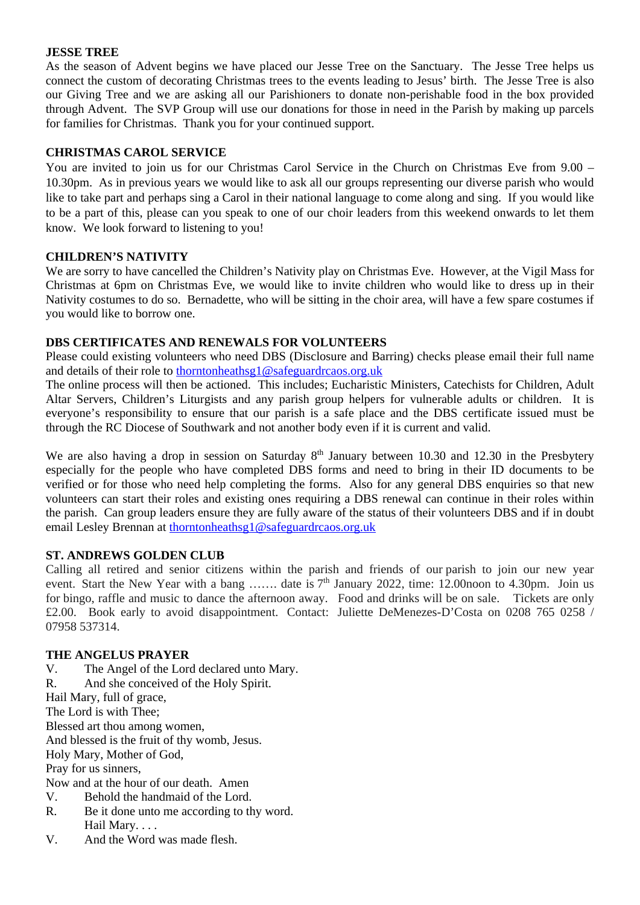#### **JESSE TREE**

As the season of Advent begins we have placed our Jesse Tree on the Sanctuary. The Jesse Tree helps us connect the custom of decorating Christmas trees to the events leading to Jesus' birth. The Jesse Tree is also our Giving Tree and we are asking all our Parishioners to donate non-perishable food in the box provided through Advent. The SVP Group will use our donations for those in need in the Parish by making up parcels for families for Christmas. Thank you for your continued support.

#### **CHRISTMAS CAROL SERVICE**

You are invited to join us for our Christmas Carol Service in the Church on Christmas Eve from 9.00 – 10.30pm. As in previous years we would like to ask all our groups representing our diverse parish who would like to take part and perhaps sing a Carol in their national language to come along and sing. If you would like to be a part of this, please can you speak to one of our choir leaders from this weekend onwards to let them know. We look forward to listening to you!

#### **CHILDREN'S NATIVITY**

We are sorry to have cancelled the Children's Nativity play on Christmas Eve. However, at the Vigil Mass for Christmas at 6pm on Christmas Eve, we would like to invite children who would like to dress up in their Nativity costumes to do so. Bernadette, who will be sitting in the choir area, will have a few spare costumes if you would like to borrow one.

#### **DBS CERTIFICATES AND RENEWALS FOR VOLUNTEERS**

Please could existing volunteers who need DBS (Disclosure and Barring) checks please email their full name and details of their role to [thorntonheathsg1@safeguardrcaos.org.uk](mailto:thorntonheathsg1@safeguardrcaos.org.uk)

The online process will then be actioned. This includes; Eucharistic Ministers, Catechists for Children, Adult Altar Servers, Children's Liturgists and any parish group helpers for vulnerable adults or children. It is everyone's responsibility to ensure that our parish is a safe place and the DBS certificate issued must be through the RC Diocese of Southwark and not another body even if it is current and valid.

We are also having a drop in session on Saturday  $8<sup>th</sup>$  January between 10.30 and 12.30 in the Presbytery especially for the people who have completed DBS forms and need to bring in their ID documents to be verified or for those who need help completing the forms. Also for any general DBS enquiries so that new volunteers can start their roles and existing ones requiring a DBS renewal can continue in their roles within the parish. Can group leaders ensure they are fully aware of the status of their volunteers DBS and if in doubt email Lesley Brennan at [thorntonheathsg1@safeguardrcaos.org.uk](mailto:thorntonheathsg1@safeguardrcaos.org.uk)

#### **ST. ANDREWS GOLDEN CLUB**

Calling all retired and senior citizens within the parish and friends of our parish to join our new year event. Start the New Year with a bang ……. date is  $7<sup>th</sup>$  January 2022, time: 12.00noon to 4.30pm. Join us for bingo, raffle and music to dance the afternoon away. Food and drinks will be on sale. Tickets are only £2.00. Book early to avoid disappointment. Contact: Juliette DeMenezes-D'Costa on 0208 765 0258 / 07958 537314.

#### **THE ANGELUS PRAYER**

- V. The Angel of the Lord declared unto Mary.
- R. And she conceived of the Holy Spirit.

Hail Mary, full of grace,

The Lord is with Thee;

Blessed art thou among women,

And blessed is the fruit of thy womb, Jesus.

Holy Mary, Mother of God,

Pray for us sinners,

Now and at the hour of our death. Amen

- V. Behold the handmaid of the Lord.
- R. Be it done unto me according to thy word. Hail Mary. . . .
- V. And the Word was made flesh.